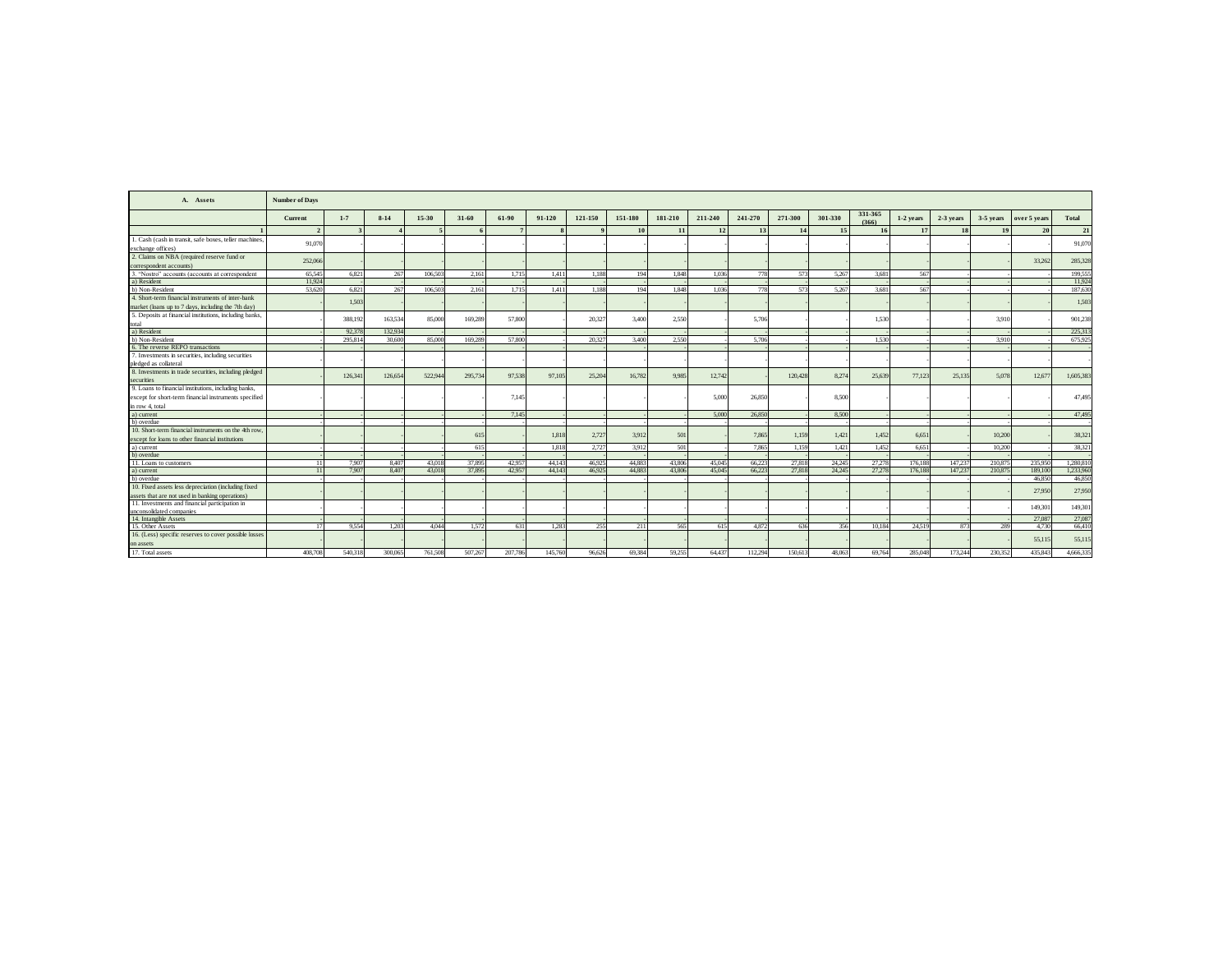| A. Assets                                                                      | <b>Number of Days</b>    |         |          |                          |         |         |         |         |         |         |         |         |         |         |                  |             |           |           |              |           |
|--------------------------------------------------------------------------------|--------------------------|---------|----------|--------------------------|---------|---------|---------|---------|---------|---------|---------|---------|---------|---------|------------------|-------------|-----------|-----------|--------------|-----------|
|                                                                                | Current                  | $1 - 7$ | $8 - 14$ | 15-30                    | 31-60   | 61-90   | 91-120  | 121-150 | 151-180 | 181-210 | 211-240 | 241-270 | 271-300 | 301-330 | 331-365<br>(366) | $1-2$ vears | 2-3 years | 3-5 years | over 5 years | Total     |
|                                                                                | $\overline{\phantom{a}}$ |         |          | $\overline{\phantom{a}}$ |         |         |         |         | 10      | 11      | 12      | 13      | 14      | 15      | 16               | 17          |           | 19        | 20           | 21        |
| . Cash (cash in transit, safe boxes, teller machines,                          | 91,070                   |         |          |                          |         |         |         |         |         |         |         |         |         |         |                  |             |           |           |              | 91,070    |
| exchange offices)                                                              |                          |         |          |                          |         |         |         |         |         |         |         |         |         |         |                  |             |           |           |              |           |
| 2. Claims on NBA (required reserve fund or                                     | 252,066                  |         |          |                          |         |         |         |         |         |         |         |         |         |         |                  |             |           |           | 33.262       | 285,328   |
| correspondent accounts)                                                        |                          |         |          |                          |         |         |         |         |         |         |         |         |         |         |                  |             |           |           |              |           |
| 3. "Nostro" accounts (accounts at correspondent                                | 65,545                   | 6.821   | 267      | 106,503                  | 2.161   | 1.715   | 1.411   | 1.188   | 194     | 1.848   | 1.036   | 778     | 573     | 5.267   | 3.681            | 567         |           |           |              | 199.555   |
| a) Resident                                                                    | 11.924                   |         |          |                          |         |         |         |         |         |         |         |         |         |         |                  |             |           |           |              | 11,924    |
| b) Non-Resident                                                                | 53,620                   | 6.821   | 267      | 106,503                  | 2.161   | 1.715   | 1.411   | 1.188   | 194     | 1.848   | 1.036   | 778     | 573     | 5.267   | 3.681            | 567         |           |           |              | 187.63    |
| 4. Short-term financial instruments of inter-bank                              |                          | 1.50    |          |                          |         |         |         |         |         |         |         |         |         |         |                  |             |           |           |              | 1.50%     |
| market (loans up to 7 days, including the 7th day)                             |                          |         |          |                          |         |         |         |         |         |         |         |         |         |         |                  |             |           |           |              |           |
| 5. Deposits at financial institutions, including banks,                        |                          | 388.19  | 163,534  |                          | 169,289 | 57,800  |         | 20.327  | 3.400   | 2,550   |         | 5.706   |         |         | 1.530            |             |           | 3.910     |              | 901,238   |
|                                                                                |                          |         |          | 85,000                   |         |         |         |         |         |         |         |         |         |         |                  |             |           |           |              |           |
| total<br>a) Resident                                                           |                          | 92.37   | 132,934  |                          |         |         |         |         |         |         |         |         |         |         |                  |             |           |           |              | 225.313   |
| b) Non-Resident                                                                |                          | 295.81  | 30,600   | 85,000                   | 169,289 | 57,800  |         | 20.327  | 3,400   | 2.550   |         | 5.706   |         |         | 1.530            |             |           | 3.910     |              | 675.92    |
| 6. The reverse REPO transactions                                               |                          |         |          |                          |         |         |         |         |         |         |         |         |         |         |                  |             |           |           |              |           |
| 7. Investments in securities, including securities                             |                          |         |          |                          |         |         |         |         |         |         |         |         |         |         |                  |             |           |           |              |           |
| pledged as collateral<br>8. Investments in trade securities, including pledged |                          |         |          |                          |         |         |         |         |         |         |         |         |         |         |                  |             |           |           |              |           |
|                                                                                |                          | 126.34  | 126,654  | 522,944                  | 295,734 | 97.538  | 97.105  | 25,204  | 16,782  | 9.985   | 12,742  |         | 120,428 | 8.274   | 25,639           | 77,123      | 25.135    | 5.078     | 12,677       | 1,605,383 |
| securities                                                                     |                          |         |          |                          |         |         |         |         |         |         |         |         |         |         |                  |             |           |           |              |           |
| 9. Loans to financial institutions, including banks,                           |                          |         |          |                          |         |         |         |         |         |         |         |         |         |         |                  |             |           |           |              |           |
| except for short-term financial instruments specified                          |                          |         |          |                          |         | 7.145   |         |         |         |         | 5.000   | 26,850  |         | 8.500   |                  |             |           |           |              | 47,495    |
| in row 4, total                                                                |                          |         |          |                          |         |         |         |         |         |         |         |         |         |         |                  |             |           |           |              |           |
| a) current                                                                     |                          |         |          |                          |         | 7.145   |         |         |         |         | 5,000   | 26,850  |         | 8.500   |                  |             |           |           |              | 47,495    |
| b) overdue                                                                     |                          |         |          |                          |         |         |         |         |         |         |         |         |         |         |                  |             |           |           |              |           |
| 10. Short-term financial instruments on the 4th row.                           |                          |         |          |                          |         |         |         |         |         |         |         |         |         |         |                  |             |           |           |              |           |
| except for loans to other financial institutions                               |                          |         |          |                          | 615     |         | 1.818   | 2,727   | 3.912   | 501     |         | 7.865   | 1.159   | 1.421   | 1.452            | 6.651       |           | 10,200    |              | 38,321    |
| a) current                                                                     |                          |         |          |                          | 615     |         | 1.818   | 2.727   | 3.912   | 501     |         | 7.865   | 1.159   | 1.421   | 1.452            | 6.651       |           | 10.200    |              | 38.321    |
| b) overdue                                                                     |                          |         |          |                          |         |         |         |         |         |         |         |         |         |         |                  |             |           |           |              |           |
| 11. Loans to customers                                                         |                          | 7.90    | 8.407    | 43,018                   | 37,895  | 42.957  | 44.143  | 46.925  | 44.883  | 43,806  | 45,045  | 66.223  | 27.818  | 24.245  | 27.278           | 176,188     | 147.23    | 210,875   | 235,950      | 1.280.810 |
| a) current                                                                     |                          | 7.90    | 8.407    | 43,018                   | 37,895  | 42.957  | 44.143  | 46,925  | 44.883  | 43,806  | 45,045  | 66,223  | 27.818  | 24.245  | 27,278           | 176,188     | 147.23    | 210.875   | 189,100      | 1.233.960 |
| b) overdue                                                                     |                          |         |          |                          |         |         |         |         |         |         |         |         |         |         |                  |             |           |           | 46.850       | 46,850    |
| 10. Fixed assets less depreciation (including fixed                            |                          |         |          |                          |         |         |         |         |         |         |         |         |         |         |                  |             |           |           | 27,950       | 27,950    |
| assets that are not used in banking operations)                                |                          |         |          |                          |         |         |         |         |         |         |         |         |         |         |                  |             |           |           |              |           |
| 11. Investments and financial participation in                                 |                          |         |          |                          |         |         |         |         |         |         |         |         |         |         |                  |             |           |           | 149,301      | 149,30    |
| unconsolidated companies                                                       |                          |         |          |                          |         |         |         |         |         |         |         |         |         |         |                  |             |           |           |              |           |
| 14. Intangible Assets                                                          |                          |         |          |                          |         |         |         |         |         |         |         |         |         |         |                  |             |           |           | 27,087       | 27,087    |
| 15. Other Assets                                                               | $\mathbf{I}^*$           | 9.55    | 1.203    | 4.044                    | 1.572   | 631     | 1.283   | 255     | 211     | 565     | 615     | 4.872   | 636     | 356     | 10.18            | 24.519      | 87        | 289       | 4.730        | 66,410    |
| 16. (Less) specific reserves to cover possible losses                          |                          |         |          |                          |         |         |         |         |         |         |         |         |         |         |                  |             |           |           | 55,115       | 55,11     |
| on assets                                                                      |                          |         |          |                          |         |         |         |         |         |         |         |         |         |         |                  |             |           |           |              |           |
| 17. Total assets                                                               | 408,708                  | 540.31  | 300.065  | 761,508                  | 507.267 | 207,786 | 145.760 | 96,626  | 69,384  | 59.255  | 64.437  | 112.294 | 150,613 | 48.063  | 69,764           | 285,048     | 173.24    | 230.352   | 435.843      | 4,666,33  |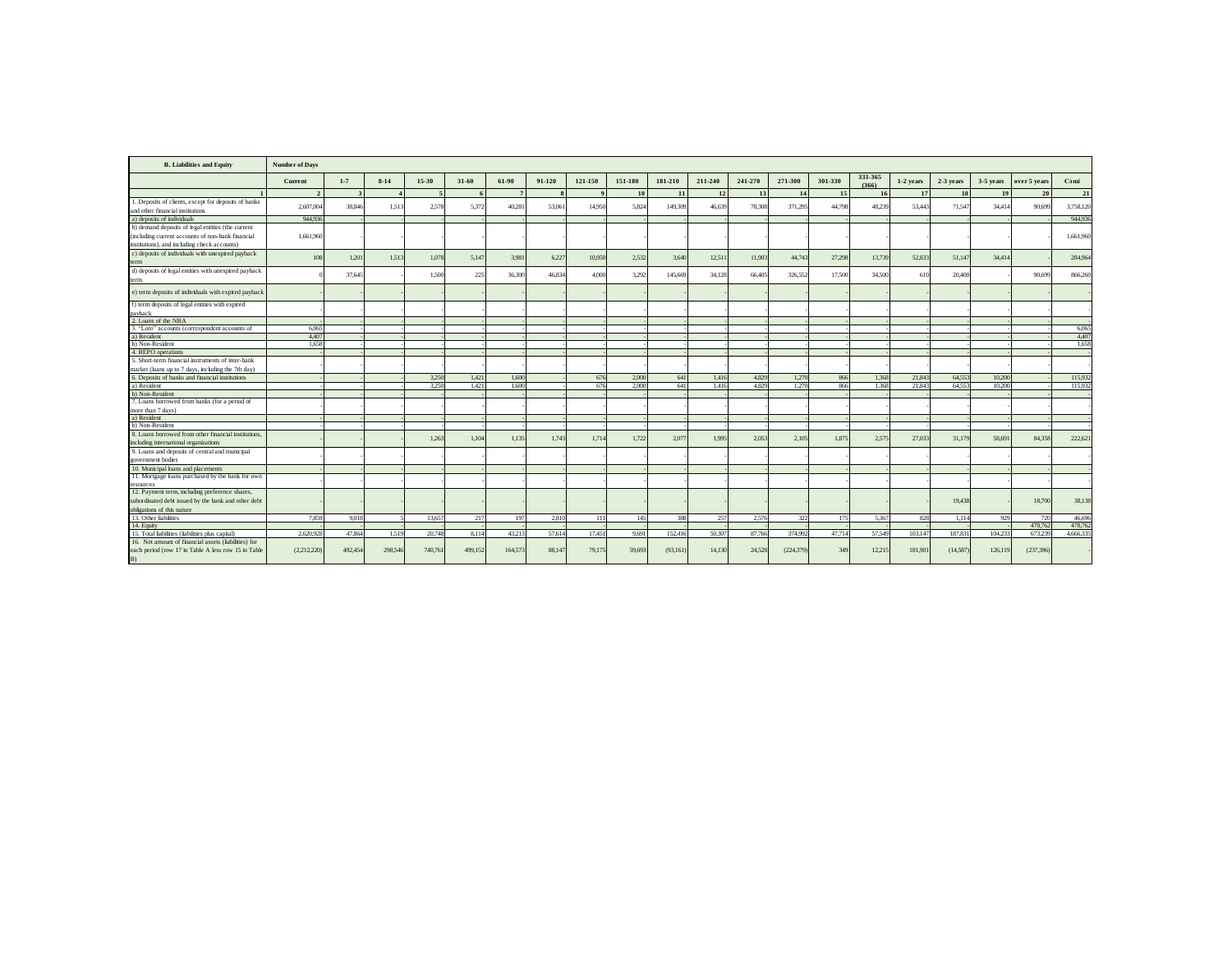| <b>B.</b> Liabilities and Equity                                                                                  | <b>Number of Days</b> |         |         |           |         |         |              |                |           |           |         |         |            |                 |                  |           |           |           |              |           |
|-------------------------------------------------------------------------------------------------------------------|-----------------------|---------|---------|-----------|---------|---------|--------------|----------------|-----------|-----------|---------|---------|------------|-----------------|------------------|-----------|-----------|-----------|--------------|-----------|
|                                                                                                                   | Current               | $1 - 7$ | $8-14$  | $15 - 30$ | 31-60   | 61-90   | 91-120       | 121-150        | 151-180   | 181-210   | 211-240 | 241-270 | 271-300    | 301-330         | 331-365<br>(366) | 1-2 years | 2-3 years | 3-5 years | over 5 years | Cami      |
|                                                                                                                   | $\overline{2}$        |         |         | -5        | 6       | 7       | $\mathbf{s}$ | $\overline{9}$ | <b>10</b> | 11        | 12      | 13      | 14         | 15 <sup>1</sup> | <b>16</b>        | 17        | <b>18</b> | 19        | 20           | 21        |
| 1. Deposits of clients, except for deposits of banks<br>and other financial institutions                          | 2,607,004             | 38,846  | 1.51    | 2.578     | 5.372   | 40.281  | 53,061       | 14.950         | 5.824     | 149,309   | 46,639  | 78.308  | 371.295    | 44,798          | 48.239           | 53.443    | 71.54     | 34.414    | 90,699       | 3,758,120 |
| a) deposits of individuals                                                                                        | 944.936               |         |         |           |         |         |              |                |           |           |         |         |            |                 |                  |           |           |           |              | 944,936   |
| b) demand deposits of legal entities (the current                                                                 | 1.661.960             |         |         |           |         |         |              |                |           |           |         |         |            |                 |                  |           |           |           |              |           |
| including current accounts of non-bank financial<br>institutions), and including check accounts)                  |                       |         |         |           |         |         |              |                |           |           |         |         |            |                 |                  |           |           |           |              | 1,661,960 |
| c) deposits of individuals with unexpired payback<br>term                                                         | 108                   | 1.201   | 1.513   | 1.078     | 5.147   | 3.981   | 6.227        | 10.950         | 2.532     | 3,640     | 12,511  | 11,903  | 44,743     | 27.298          | 13,739           | 52.833    | 51.14     | 34,414    |              | 284,964   |
| d) deposits of legal entities with unexpired payback<br>term                                                      |                       | 37,645  |         | 1.50      | 225     | 36,300  | 46.834       | 4.000          | 3.292     | 145,669   | 34.128  | 66,405  | 326,552    | 17,500          | 34,500           | 610       | 20.400    |           | 90,699       | 866,260   |
| e) term deposits of individuals with expired payback                                                              |                       |         |         |           |         |         |              |                |           |           |         |         |            |                 |                  |           |           |           |              |           |
| f) term deposits of legal entities with expired<br>payback                                                        |                       |         |         |           |         |         |              |                |           |           |         |         |            |                 |                  |           |           |           |              |           |
| 2. Loans of the NBA                                                                                               |                       |         |         |           |         |         |              |                |           |           |         |         |            |                 |                  |           |           |           |              |           |
| 3. "Loro" accounts (correspondent accounts of                                                                     | 6.065                 |         |         |           |         |         |              |                |           |           |         |         |            |                 |                  |           |           |           |              | 6.065     |
| a) Resident                                                                                                       | 4.407                 |         |         |           |         |         |              |                |           |           |         |         |            |                 |                  |           |           |           |              | 4.407     |
| b) Non-Resident                                                                                                   | 1.658                 |         |         |           |         |         |              |                |           |           |         |         |            |                 |                  |           |           |           |              | 1.658     |
| 4. REPO operations                                                                                                |                       |         |         |           |         |         |              |                |           |           |         |         |            |                 |                  |           |           |           |              |           |
| 5. Short-term financial instruments of inter-bank                                                                 |                       |         |         |           |         |         |              |                |           |           |         |         |            |                 |                  |           |           |           |              |           |
| market (loans up to 7 days, including the 7th day)                                                                |                       |         |         |           |         |         |              |                |           |           |         |         |            |                 |                  |           |           |           |              |           |
| 6. Deposits of banks and financial institutions                                                                   |                       |         |         | 3.250     | 1.421   | 1.600   |              | 676            | 2.000     | 641       | 1,416   | 4.829   | 1.270      | 866             | 1.368            | 21.843    | 64.55     | 10.200    |              | 115.932   |
| a) Resident                                                                                                       |                       |         |         | 3.250     | 1.421   | 1.600   |              | 676            | 2.000     | 641       | 1.416   | 4.829   | 1.270      | 866             | 1.368            | 21.843    | 64.55     | 10.200    |              | 115.932   |
| b) Non-Resident                                                                                                   |                       |         |         |           |         |         |              |                |           |           |         |         |            |                 |                  |           |           |           |              |           |
| 7. Loans borrowed from banks (for a period of<br>more than 7 days)                                                |                       |         |         |           |         |         |              |                |           |           |         |         |            |                 |                  |           |           |           |              |           |
| a) Resident                                                                                                       |                       |         |         |           |         |         |              |                |           |           |         |         |            |                 |                  |           |           |           |              |           |
| b) Non-Resident                                                                                                   |                       |         |         |           |         |         |              |                |           |           |         |         |            |                 |                  |           |           |           |              |           |
| 8. Loans borrowed from other financial institutions.                                                              |                       |         |         |           |         |         |              |                |           |           |         |         |            |                 |                  |           |           |           |              |           |
| including international organizations                                                                             |                       |         |         | 1.26      | 1.104   | 1.135   | 1.743        | 1.714          | 1.722     | 2.07      | 1.995   | 2.053   | 2.105      | 1.875           | 2.575            | 27,033    | 31.17     | 58.69     | 84,358       | 222,621   |
| 9. Loans and deposits of central and municipal<br>government bodies                                               |                       |         |         |           |         |         |              |                |           |           |         |         |            |                 |                  |           |           |           |              |           |
| 10. Municipal loans and placements                                                                                |                       |         |         |           |         |         |              |                |           |           |         |         |            |                 |                  |           |           |           |              |           |
| 11. Mortgage loans purchased by the bank for own                                                                  |                       |         |         |           |         |         |              |                |           |           |         |         |            |                 |                  |           |           |           |              |           |
| resources                                                                                                         |                       |         |         |           |         |         |              |                |           |           |         |         |            |                 |                  |           |           |           |              |           |
| 12. Payment term, including preference shares,                                                                    |                       |         |         |           |         |         |              |                |           |           |         |         |            |                 |                  |           |           |           |              |           |
| subordinated debt issued by the bank and other debt                                                               |                       |         |         |           |         |         |              |                |           |           |         |         |            |                 |                  |           | 19,438    |           | 18,700       | 38,138    |
| obligations of this nature                                                                                        |                       |         |         |           |         |         |              |                |           |           |         |         |            |                 |                  |           |           |           |              |           |
| 13. Other liabilities                                                                                             | 7.859                 | 9.018   |         | 13.65     | 217     | 197     | 2.810        | 111            | 145       | 388       | 257     | 2.576   | 322        | 175             | 5.367            | 828       | 1.114     | 929       | 720          | 46,696    |
| 14. Equity                                                                                                        |                       |         |         |           |         |         |              |                |           |           |         |         |            |                 |                  |           |           |           | 478.762      | 478.762   |
| 15. Total liabilities (liabilities plus capital)                                                                  | 2.620.928             | 47.864  | 1.519   | 20,748    | 8.114   | 43.213  | 57.614       | 17.451         | 9.691     | 152.416   | 50.307  | 87,766  | 374.992    | 47.714          | 57.549           | 103.147   | 187.83    | 104.233   | 673.239      | 4,666,33  |
| 16. Net amount of financial assets (liabilities) for<br>each period (row 17 in Table A less row 15 in Table<br>B) | (2,212,220)           | 492.454 | 298,546 | 740,761   | 499,152 | 164,573 | 88,147       | 79,175         | 59,693    | (93, 161) | 14,130  | 24,528  | (224, 379) | 349             | 12,215           | 181.90    | (14,587)  | 126,119   | (237, 396)   |           |
|                                                                                                                   |                       |         |         |           |         |         |              |                |           |           |         |         |            |                 |                  |           |           |           |              |           |